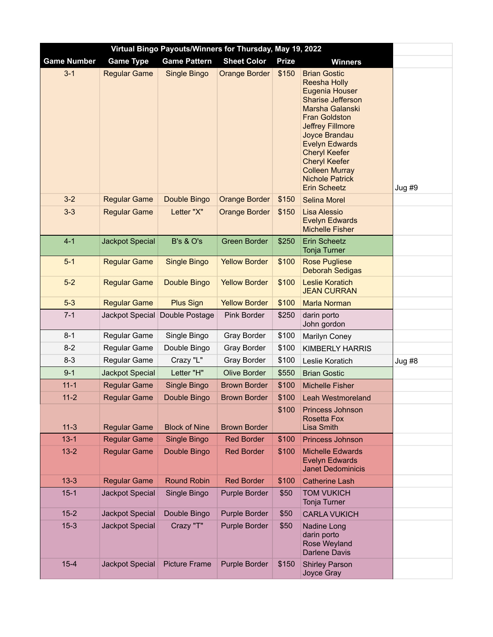| Virtual Bingo Payouts/Winners for Thursday, May 19, 2022 |                        |                      |                      |              |                                                                                                                                                                                                                                                                                                                                    |          |  |  |  |
|----------------------------------------------------------|------------------------|----------------------|----------------------|--------------|------------------------------------------------------------------------------------------------------------------------------------------------------------------------------------------------------------------------------------------------------------------------------------------------------------------------------------|----------|--|--|--|
| <b>Game Number</b>                                       | <b>Game Type</b>       | <b>Game Pattern</b>  | <b>Sheet Color</b>   | <b>Prize</b> | <b>Winners</b>                                                                                                                                                                                                                                                                                                                     |          |  |  |  |
| $3 - 1$                                                  | <b>Regular Game</b>    | Single Bingo         | <b>Orange Border</b> | \$150        | <b>Brian Gostic</b><br><b>Reesha Holly</b><br>Eugenia Houser<br><b>Sharise Jefferson</b><br>Marsha Galanski<br><b>Fran Goldston</b><br><b>Jeffrey Fillmore</b><br>Joyce Brandau<br><b>Evelyn Edwards</b><br><b>Cheryl Keefer</b><br><b>Cheryl Keefer</b><br><b>Colleen Murray</b><br><b>Nichole Patrick</b><br><b>Erin Scheetz</b> | Jug#9    |  |  |  |
| $3-2$                                                    | <b>Regular Game</b>    | Double Bingo         | <b>Orange Border</b> | \$150        | <b>Selina Morel</b>                                                                                                                                                                                                                                                                                                                |          |  |  |  |
| $3 - 3$                                                  | <b>Regular Game</b>    | Letter "X"           | <b>Orange Border</b> | \$150        | <b>Lisa Alessio</b><br><b>Evelyn Edwards</b><br><b>Michelle Fisher</b>                                                                                                                                                                                                                                                             |          |  |  |  |
| $4 - 1$                                                  | <b>Jackpot Special</b> | <b>B's &amp; O's</b> | <b>Green Border</b>  | \$250        | <b>Erin Scheetz</b><br><b>Tonja Turner</b>                                                                                                                                                                                                                                                                                         |          |  |  |  |
| $5-1$                                                    | <b>Regular Game</b>    | <b>Single Bingo</b>  | <b>Yellow Border</b> | \$100        | <b>Rose Pugliese</b><br><b>Deborah Sedigas</b>                                                                                                                                                                                                                                                                                     |          |  |  |  |
| $5-2$                                                    | <b>Regular Game</b>    | Double Bingo         | <b>Yellow Border</b> | \$100        | <b>Leslie Koratich</b><br><b>JEAN CURRAN</b>                                                                                                                                                                                                                                                                                       |          |  |  |  |
| $5 - 3$                                                  | <b>Regular Game</b>    | <b>Plus Sign</b>     | <b>Yellow Border</b> | \$100        | <b>Marla Norman</b>                                                                                                                                                                                                                                                                                                                |          |  |  |  |
| $7 - 1$                                                  | Jackpot Special        | Double Postage       | Pink Border          | \$250        | darin porto<br>John gordon                                                                                                                                                                                                                                                                                                         |          |  |  |  |
| $8 - 1$                                                  | Regular Game           | Single Bingo         | <b>Gray Border</b>   | \$100        | Marilyn Coney                                                                                                                                                                                                                                                                                                                      |          |  |  |  |
| $8 - 2$                                                  | Regular Game           | Double Bingo         | <b>Gray Border</b>   | \$100        | <b>KIMBERLY HARRIS</b>                                                                                                                                                                                                                                                                                                             |          |  |  |  |
| $8 - 3$                                                  | Regular Game           | Crazy "L"            | <b>Gray Border</b>   | \$100        | Leslie Koratich                                                                                                                                                                                                                                                                                                                    | $Jug$ #8 |  |  |  |
| $9 - 1$                                                  | Jackpot Special        | Letter "H"           | <b>Olive Border</b>  | \$550        | <b>Brian Gostic</b>                                                                                                                                                                                                                                                                                                                |          |  |  |  |
| $11 - 1$                                                 | <b>Regular Game</b>    | Single Bingo         | <b>Brown Border</b>  | \$100        | <b>Michelle Fisher</b>                                                                                                                                                                                                                                                                                                             |          |  |  |  |
| $11 - 2$                                                 | <b>Regular Game</b>    | Double Bingo         | <b>Brown Border</b>  | \$100        | <b>Leah Westmoreland</b>                                                                                                                                                                                                                                                                                                           |          |  |  |  |
| $11 - 3$                                                 | <b>Regular Game</b>    | <b>Block of Nine</b> | <b>Brown Border</b>  | \$100        | Princess Johnson<br><b>Rosetta Fox</b><br><b>Lisa Smith</b>                                                                                                                                                                                                                                                                        |          |  |  |  |
| $13 - 1$                                                 | <b>Regular Game</b>    | Single Bingo         | <b>Red Border</b>    | \$100        | Princess Johnson                                                                                                                                                                                                                                                                                                                   |          |  |  |  |
| $13 - 2$                                                 | <b>Regular Game</b>    | Double Bingo         | <b>Red Border</b>    | \$100        | <b>Michelle Edwards</b><br><b>Evelyn Edwards</b><br><b>Janet Dedominicis</b>                                                                                                                                                                                                                                                       |          |  |  |  |
| $13 - 3$                                                 | <b>Regular Game</b>    | <b>Round Robin</b>   | <b>Red Border</b>    | \$100        | <b>Catherine Lash</b>                                                                                                                                                                                                                                                                                                              |          |  |  |  |
| $15 - 1$                                                 | Jackpot Special        | Single Bingo         | Purple Border        | \$50         | <b>TOM VUKICH</b><br>Tonja Turner                                                                                                                                                                                                                                                                                                  |          |  |  |  |
| $15 - 2$                                                 | <b>Jackpot Special</b> | Double Bingo         | Purple Border        | \$50         | <b>CARLA VUKICH</b>                                                                                                                                                                                                                                                                                                                |          |  |  |  |
| $15-3$                                                   | <b>Jackpot Special</b> | Crazy "T"            | Purple Border        | \$50         | Nadine Long<br>darin porto<br>Rose Weyland<br><b>Darlene Davis</b>                                                                                                                                                                                                                                                                 |          |  |  |  |
| $15 - 4$                                                 | Jackpot Special        | <b>Picture Frame</b> | Purple Border        | \$150        | <b>Shirley Parson</b><br>Joyce Gray                                                                                                                                                                                                                                                                                                |          |  |  |  |